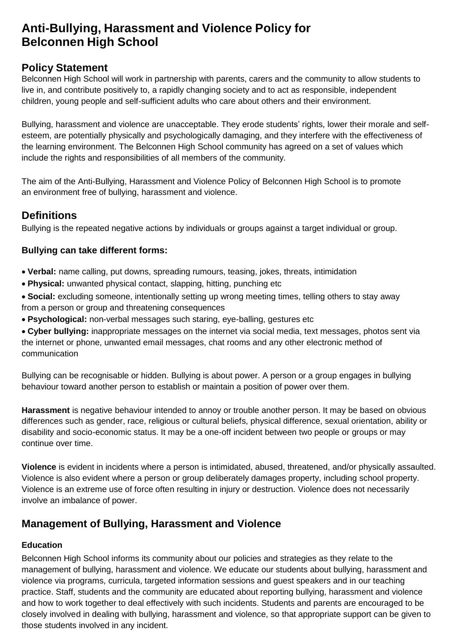# **Anti-Bullying, Harassment and Violence Policy for Belconnen High School**

### **Policy Statement**

Belconnen High School will work in partnership with parents, carers and the community to allow students to live in, and contribute positively to, a rapidly changing society and to act as responsible, independent children, young people and self-sufficient adults who care about others and their environment.

Bullying, harassment and violence are unacceptable. They erode students' rights, lower their morale and selfesteem, are potentially physically and psychologically damaging, and they interfere with the effectiveness of the learning environment. The Belconnen High School community has agreed on a set of values which include the rights and responsibilities of all members of the community.

The aim of the Anti-Bullying, Harassment and Violence Policy of Belconnen High School is to promote an environment free of bullying, harassment and violence.

## **Definitions**

Bullying is the repeated negative actions by individuals or groups against a target individual or group.

#### **Bullying can take different forms:**

- **Verbal:** name calling, put downs, spreading rumours, teasing, jokes, threats, intimidation
- **Physical:** unwanted physical contact, slapping, hitting, punching etc
- **Social:** excluding someone, intentionally setting up wrong meeting times, telling others to stay away from a person or group and threatening consequences
- **Psychological:** non-verbal messages such staring, eye-balling, gestures etc

• **Cyber bullying:** inappropriate messages on the internet via social media, text messages, photos sent via the internet or phone, unwanted email messages, chat rooms and any other electronic method of communication

Bullying can be recognisable or hidden. Bullying is about power. A person or a group engages in bullying behaviour toward another person to establish or maintain a position of power over them.

**Harassment** is negative behaviour intended to annoy or trouble another person. It may be based on obvious differences such as gender, race, religious or cultural beliefs, physical difference, sexual orientation, ability or disability and socio-economic status. It may be a one-off incident between two people or groups or may continue over time.

**Violence** is evident in incidents where a person is intimidated, abused, threatened, and/or physically assaulted. Violence is also evident where a person or group deliberately damages property, including school property. Violence is an extreme use of force often resulting in injury or destruction. Violence does not necessarily involve an imbalance of power.

# **Management of Bullying, Harassment and Violence**

#### **Education**

Belconnen High School informs its community about our policies and strategies as they relate to the management of bullying, harassment and violence. We educate our students about bullying, harassment and violence via programs, curricula, targeted information sessions and guest speakers and in our teaching practice. Staff, students and the community are educated about reporting bullying, harassment and violence and how to work together to deal effectively with such incidents. Students and parents are encouraged to be closely involved in dealing with bullying, harassment and violence, so that appropriate support can be given to those students involved in any incident.